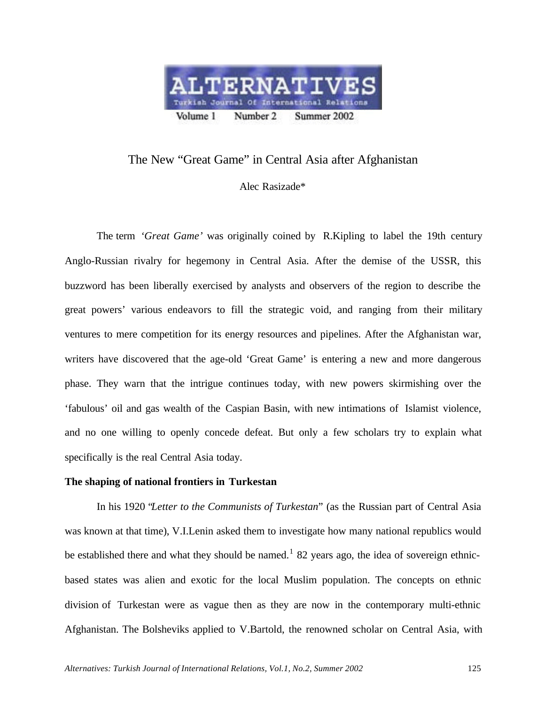

# The New "Great Game" in Central Asia after Afghanistan

Alec Rasizade\*

The term *'Great Game'* was originally coined by R.Kipling to label the 19th century Anglo-Russian rivalry for hegemony in Central Asia. After the demise of the USSR, this buzzword has been liberally exercised by analysts and observers of the region to describe the great powers' various endeavors to fill the strategic void, and ranging from their military ventures to mere competition for its energy resources and pipelines. After the Afghanistan war, writers have discovered that the age-old 'Great Game' is entering a new and more dangerous phase. They warn that the intrigue continues today, with new powers skirmishing over the 'fabulous' oil and gas wealth of the Caspian Basin, with new intimations of Islamist violence, and no one willing to openly concede defeat. But only a few scholars try to explain what specifically is the real Central Asia today.

## **The shaping of national frontiers in Turkestan**

In his 1920 "*Letter to the Communists of Turkestan*" (as the Russian part of Central Asia was known at that time), V.I.Lenin asked them to investigate how many national republics would be established there and what they should be named.<sup>1</sup> 82 years ago, the idea of sovereign ethnicbased states was alien and exotic for the local Muslim population. The concepts on ethnic division of Turkestan were as vague then as they are now in the contemporary multi-ethnic Afghanistan. The Bolsheviks applied to V.Bartold, the renowned scholar on Central Asia, with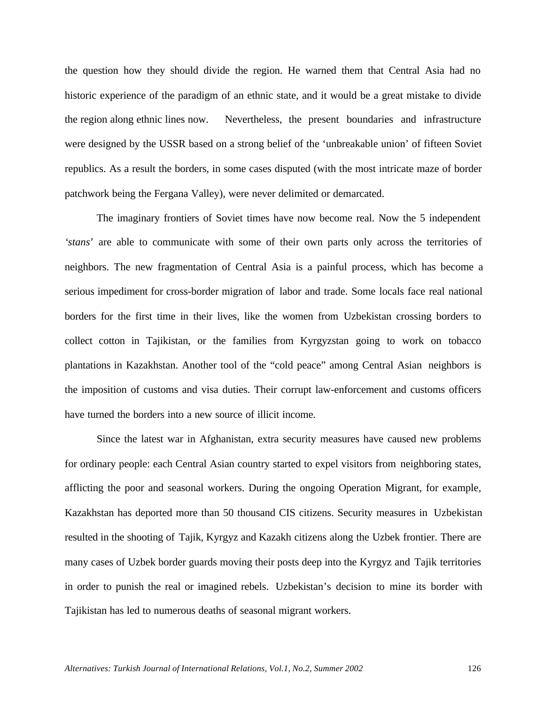the question how they should divide the region. He warned them that Central Asia had no historic experience of the paradigm of an ethnic state, and it would be a great mistake to divide the region along ethnic lines now. Nevertheless, the present boundaries and infrastructure were designed by the USSR based on a strong belief of the 'unbreakable union' of fifteen Soviet republics. As a result the borders, in some cases disputed (with the most intricate maze of border patchwork being the Fergana Valley), were never delimited or demarcated.

The imaginary frontiers of Soviet times have now become real. Now the 5 independent *'stans*' are able to communicate with some of their own parts only across the territories of neighbors. The new fragmentation of Central Asia is a painful process, which has become a serious impediment for cross-border migration of labor and trade. Some locals face real national borders for the first time in their lives, like the women from Uzbekistan crossing borders to collect cotton in Tajikistan, or the families from Kyrgyzstan going to work on tobacco plantations in Kazakhstan. Another tool of the "cold peace" among Central Asian neighbors is the imposition of customs and visa duties. Their corrupt law-enforcement and customs officers have turned the borders into a new source of illicit income.

Since the latest war in Afghanistan, extra security measures have caused new problems for ordinary people: each Central Asian country started to expel visitors from neighboring states, afflicting the poor and seasonal workers. During the ongoing Operation Migrant, for example, Kazakhstan has deported more than 50 thousand CIS citizens. Security measures in Uzbekistan resulted in the shooting of Tajik, Kyrgyz and Kazakh citizens along the Uzbek frontier. There are many cases of Uzbek border guards moving their posts deep into the Kyrgyz and Tajik territories in order to punish the real or imagined rebels. Uzbekistan's decision to mine its border with Tajikistan has led to numerous deaths of seasonal migrant workers.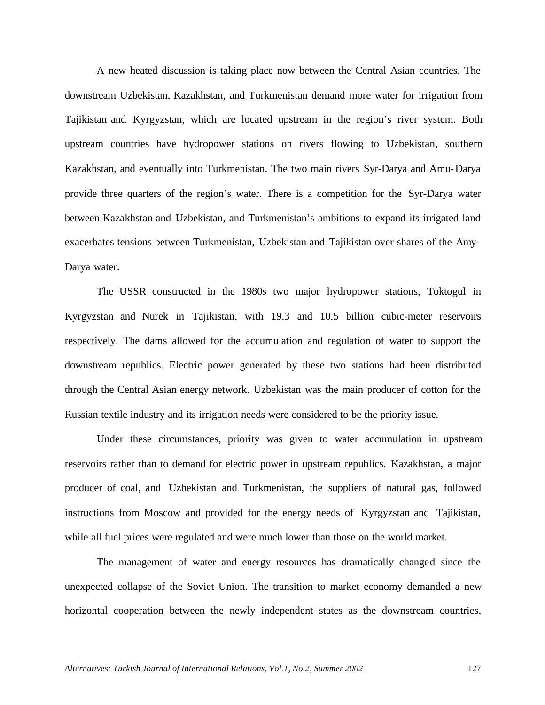A new heated discussion is taking place now between the Central Asian countries. The downstream Uzbekistan, Kazakhstan, and Turkmenistan demand more water for irrigation from Tajikistan and Kyrgyzstan, which are located upstream in the region's river system. Both upstream countries have hydropower stations on rivers flowing to Uzbekistan, southern Kazakhstan, and eventually into Turkmenistan. The two main rivers Syr-Darya and Amu-Darya provide three quarters of the region's water. There is a competition for the Syr-Darya water between Kazakhstan and Uzbekistan, and Turkmenistan's ambitions to expand its irrigated land exacerbates tensions between Turkmenistan, Uzbekistan and Tajikistan over shares of the Amy-Darya water.

The USSR constructed in the 1980s two major hydropower stations, Toktogul in Kyrgyzstan and Nurek in Tajikistan, with 19.3 and 10.5 billion cubic-meter reservoirs respectively. The dams allowed for the accumulation and regulation of water to support the downstream republics. Electric power generated by these two stations had been distributed through the Central Asian energy network. Uzbekistan was the main producer of cotton for the Russian textile industry and its irrigation needs were considered to be the priority issue.

Under these circumstances, priority was given to water accumulation in upstream reservoirs rather than to demand for electric power in upstream republics. Kazakhstan, a major producer of coal, and Uzbekistan and Turkmenistan, the suppliers of natural gas, followed instructions from Moscow and provided for the energy needs of Kyrgyzstan and Tajikistan, while all fuel prices were regulated and were much lower than those on the world market.

The management of water and energy resources has dramatically changed since the unexpected collapse of the Soviet Union. The transition to market economy demanded a new horizontal cooperation between the newly independent states as the downstream countries,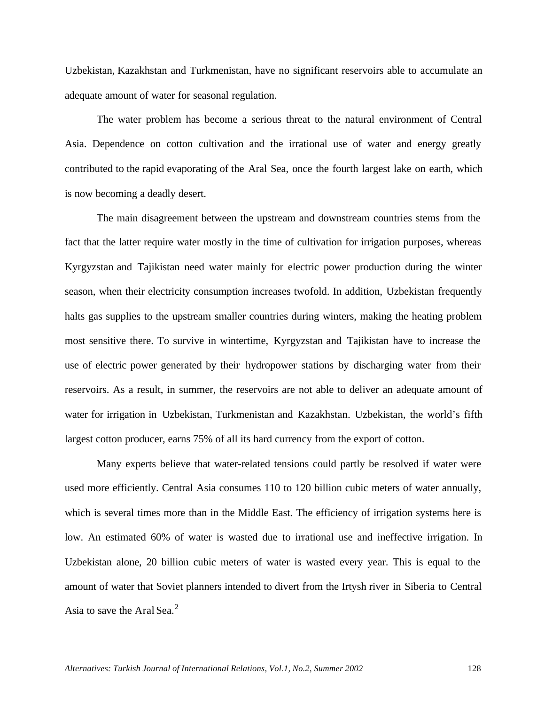Uzbekistan, Kazakhstan and Turkmenistan, have no significant reservoirs able to accumulate an adequate amount of water for seasonal regulation.

The water problem has become a serious threat to the natural environment of Central Asia. Dependence on cotton cultivation and the irrational use of water and energy greatly contributed to the rapid evaporating of the Aral Sea, once the fourth largest lake on earth, which is now becoming a deadly desert.

The main disagreement between the upstream and downstream countries stems from the fact that the latter require water mostly in the time of cultivation for irrigation purposes, whereas Kyrgyzstan and Tajikistan need water mainly for electric power production during the winter season, when their electricity consumption increases twofold. In addition, Uzbekistan frequently halts gas supplies to the upstream smaller countries during winters, making the heating problem most sensitive there. To survive in wintertime, Kyrgyzstan and Tajikistan have to increase the use of electric power generated by their hydropower stations by discharging water from their reservoirs. As a result, in summer, the reservoirs are not able to deliver an adequate amount of water for irrigation in Uzbekistan, Turkmenistan and Kazakhstan. Uzbekistan, the world's fifth largest cotton producer, earns 75% of all its hard currency from the export of cotton.

Many experts believe that water-related tensions could partly be resolved if water were used more efficiently. Central Asia consumes 110 to 120 billion cubic meters of water annually, which is several times more than in the Middle East. The efficiency of irrigation systems here is low. An estimated 60% of water is wasted due to irrational use and ineffective irrigation. In Uzbekistan alone, 20 billion cubic meters of water is wasted every year. This is equal to the amount of water that Soviet planners intended to divert from the Irtysh river in Siberia to Central Asia to save the Aral Sea.<sup>2</sup>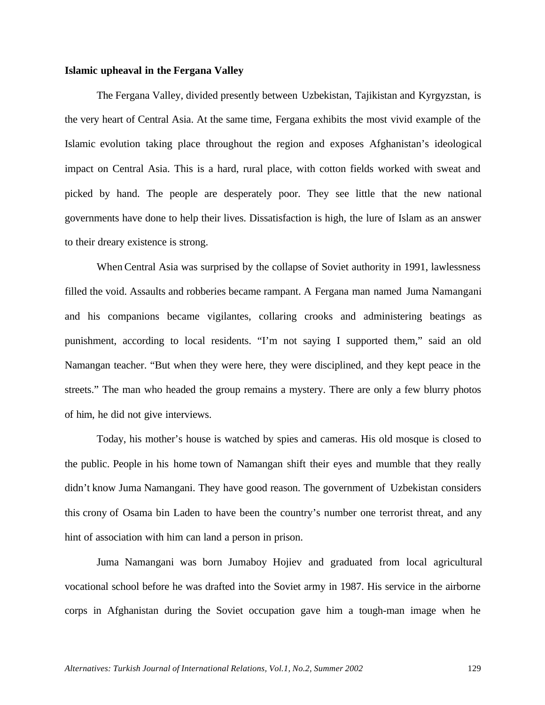## **Islamic upheaval in the Fergana Valley**

The Fergana Valley, divided presently between Uzbekistan, Tajikistan and Kyrgyzstan, is the very heart of Central Asia. At the same time, Fergana exhibits the most vivid example of the Islamic evolution taking place throughout the region and exposes Afghanistan's ideological impact on Central Asia. This is a hard, rural place, with cotton fields worked with sweat and picked by hand. The people are desperately poor. They see little that the new national governments have done to help their lives. Dissatisfaction is high, the lure of Islam as an answer to their dreary existence is strong.

When Central Asia was surprised by the collapse of Soviet authority in 1991, lawlessness filled the void. Assaults and robberies became rampant. A Fergana man named Juma Namangani and his companions became vigilantes, collaring crooks and administering beatings as punishment, according to local residents. "I'm not saying I supported them," said an old Namangan teacher. "But when they were here, they were disciplined, and they kept peace in the streets." The man who headed the group remains a mystery. There are only a few blurry photos of him, he did not give interviews.

Today, his mother's house is watched by spies and cameras. His old mosque is closed to the public. People in his home town of Namangan shift their eyes and mumble that they really didn't know Juma Namangani. They have good reason. The government of Uzbekistan considers this crony of Osama bin Laden to have been the country's number one terrorist threat, and any hint of association with him can land a person in prison.

Juma Namangani was born Jumaboy Hojiev and graduated from local agricultural vocational school before he was drafted into the Soviet army in 1987. His service in the airborne corps in Afghanistan during the Soviet occupation gave him a tough-man image when he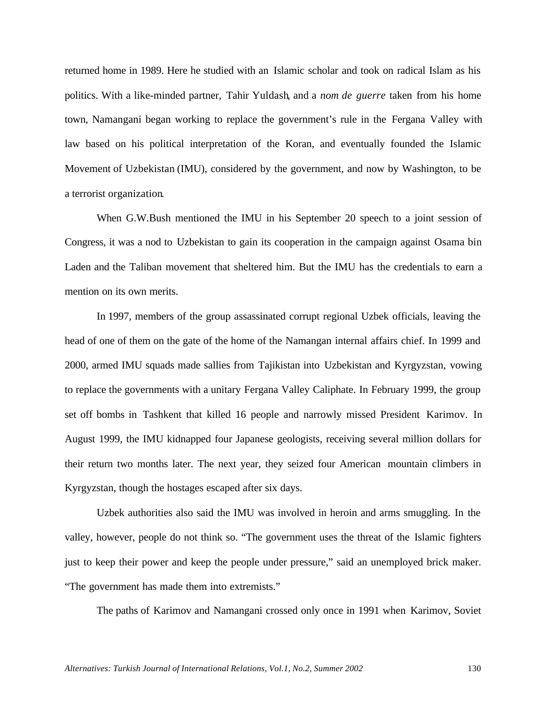returned home in 1989. Here he studied with an Islamic scholar and took on radical Islam as his politics. With a like-minded partner, Tahir Yuldash, and a *nom de guerre* taken from his home town, Namangani began working to replace the government's rule in the Fergana Valley with law based on his political interpretation of the Koran, and eventually founded the Islamic Movement of Uzbekistan (IMU), considered by the government, and now by Washington, to be a terrorist organization.

When G.W.Bush mentioned the IMU in his September 20 speech to a joint session of Congress, it was a nod to Uzbekistan to gain its cooperation in the campaign against Osama bin Laden and the Taliban movement that sheltered him. But the IMU has the credentials to earn a mention on its own merits.

In 1997, members of the group assassinated corrupt regional Uzbek officials, leaving the head of one of them on the gate of the home of the Namangan internal affairs chief. In 1999 and 2000, armed IMU squads made sallies from Tajikistan into Uzbekistan and Kyrgyzstan, vowing to replace the governments with a unitary Fergana Valley Caliphate. In February 1999, the group set off bombs in Tashkent that killed 16 people and narrowly missed President Karimov. In August 1999, the IMU kidnapped four Japanese geologists, receiving several million dollars for their return two months later. The next year, they seized four American mountain climbers in Kyrgyzstan, though the hostages escaped after six days.

Uzbek authorities also said the IMU was involved in heroin and arms smuggling. In the valley, however, people do not think so. "The government uses the threat of the Islamic fighters just to keep their power and keep the people under pressure," said an unemployed brick maker. "The government has made them into extremists."

The paths of Karimov and Namangani crossed only once in 1991 when Karimov, Soviet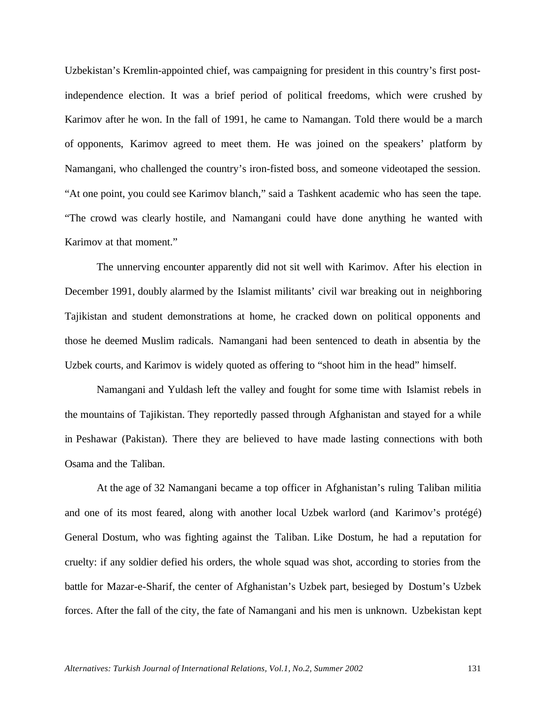Uzbekistan's Kremlin-appointed chief, was campaigning for president in this country's first postindependence election. It was a brief period of political freedoms, which were crushed by Karimov after he won. In the fall of 1991, he came to Namangan. Told there would be a march of opponents, Karimov agreed to meet them. He was joined on the speakers' platform by Namangani, who challenged the country's iron-fisted boss, and someone videotaped the session. "At one point, you could see Karimov blanch," said a Tashkent academic who has seen the tape. "The crowd was clearly hostile, and Namangani could have done anything he wanted with Karimov at that moment."

The unnerving encounter apparently did not sit well with Karimov. After his election in December 1991, doubly alarmed by the Islamist militants' civil war breaking out in neighboring Tajikistan and student demonstrations at home, he cracked down on political opponents and those he deemed Muslim radicals. Namangani had been sentenced to death in absentia by the Uzbek courts, and Karimov is widely quoted as offering to "shoot him in the head" himself.

Namangani and Yuldash left the valley and fought for some time with Islamist rebels in the mountains of Tajikistan. They reportedly passed through Afghanistan and stayed for a while in Peshawar (Pakistan). There they are believed to have made lasting connections with both Osama and the Taliban.

At the age of 32 Namangani became a top officer in Afghanistan's ruling Taliban militia and one of its most feared, along with another local Uzbek warlord (and Karimov's protégé) General Dostum, who was fighting against the Taliban. Like Dostum, he had a reputation for cruelty: if any soldier defied his orders, the whole squad was shot, according to stories from the battle for Mazar-e-Sharif, the center of Afghanistan's Uzbek part, besieged by Dostum's Uzbek forces. After the fall of the city, the fate of Namangani and his men is unknown. Uzbekistan kept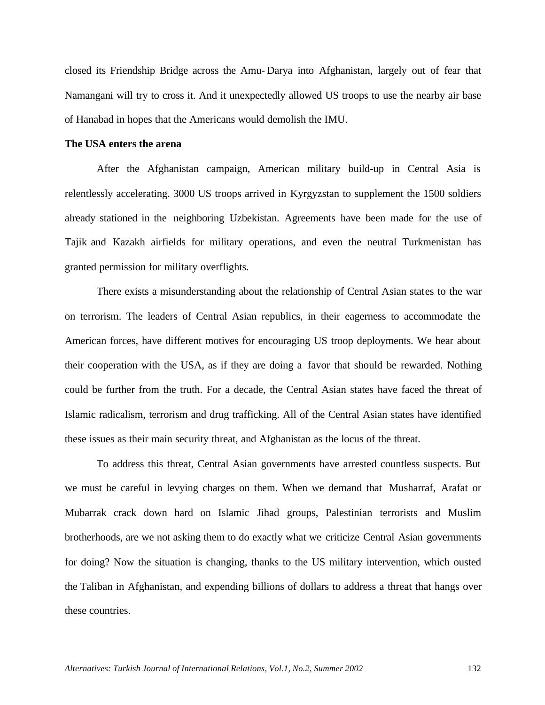closed its Friendship Bridge across the Amu- Darya into Afghanistan, largely out of fear that Namangani will try to cross it. And it unexpectedly allowed US troops to use the nearby air base of Hanabad in hopes that the Americans would demolish the IMU.

### **The USA enters the arena**

After the Afghanistan campaign, American military build-up in Central Asia is relentlessly accelerating. 3000 US troops arrived in Kyrgyzstan to supplement the 1500 soldiers already stationed in the neighboring Uzbekistan. Agreements have been made for the use of Tajik and Kazakh airfields for military operations, and even the neutral Turkmenistan has granted permission for military overflights.

There exists a misunderstanding about the relationship of Central Asian states to the war on terrorism. The leaders of Central Asian republics, in their eagerness to accommodate the American forces, have different motives for encouraging US troop deployments. We hear about their cooperation with the USA, as if they are doing a favor that should be rewarded. Nothing could be further from the truth. For a decade, the Central Asian states have faced the threat of Islamic radicalism, terrorism and drug trafficking. All of the Central Asian states have identified these issues as their main security threat, and Afghanistan as the locus of the threat.

To address this threat, Central Asian governments have arrested countless suspects. But we must be careful in levying charges on them. When we demand that Musharraf, Arafat or Mubarrak crack down hard on Islamic Jihad groups, Palestinian terrorists and Muslim brotherhoods, are we not asking them to do exactly what we criticize Central Asian governments for doing? Now the situation is changing, thanks to the US military intervention, which ousted the Taliban in Afghanistan, and expending billions of dollars to address a threat that hangs over these countries.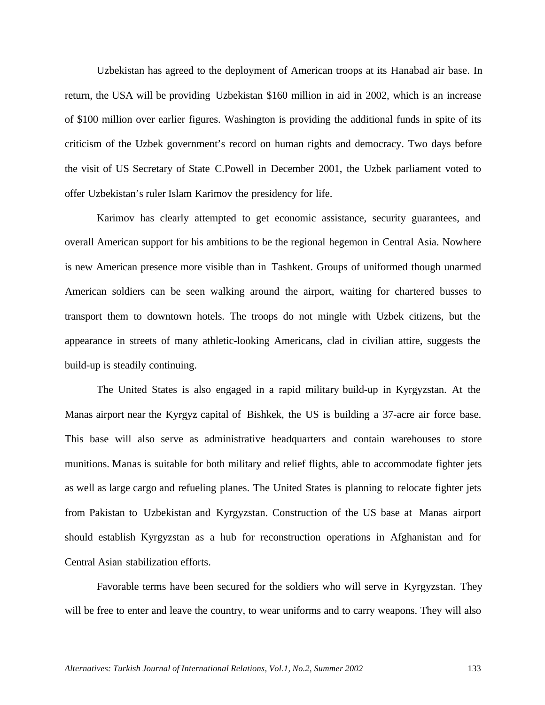Uzbekistan has agreed to the deployment of American troops at its Hanabad air base. In return, the USA will be providing Uzbekistan \$160 million in aid in 2002, which is an increase of \$100 million over earlier figures. Washington is providing the additional funds in spite of its criticism of the Uzbek government's record on human rights and democracy. Two days before the visit of US Secretary of State C.Powell in December 2001, the Uzbek parliament voted to offer Uzbekistan's ruler Islam Karimov the presidency for life.

Karimov has clearly attempted to get economic assistance, security guarantees, and overall American support for his ambitions to be the regional hegemon in Central Asia. Nowhere is new American presence more visible than in Tashkent. Groups of uniformed though unarmed American soldiers can be seen walking around the airport, waiting for chartered busses to transport them to downtown hotels. The troops do not mingle with Uzbek citizens, but the appearance in streets of many athletic-looking Americans, clad in civilian attire, suggests the build-up is steadily continuing.

The United States is also engaged in a rapid military build-up in Kyrgyzstan. At the Manas airport near the Kyrgyz capital of Bishkek, the US is building a 37-acre air force base. This base will also serve as administrative headquarters and contain warehouses to store munitions. Manas is suitable for both military and relief flights, able to accommodate fighter jets as well as large cargo and refueling planes. The United States is planning to relocate fighter jets from Pakistan to Uzbekistan and Kyrgyzstan. Construction of the US base at Manas airport should establish Kyrgyzstan as a hub for reconstruction operations in Afghanistan and for Central Asian stabilization efforts.

Favorable terms have been secured for the soldiers who will serve in Kyrgyzstan. They will be free to enter and leave the country, to wear uniforms and to carry weapons. They will also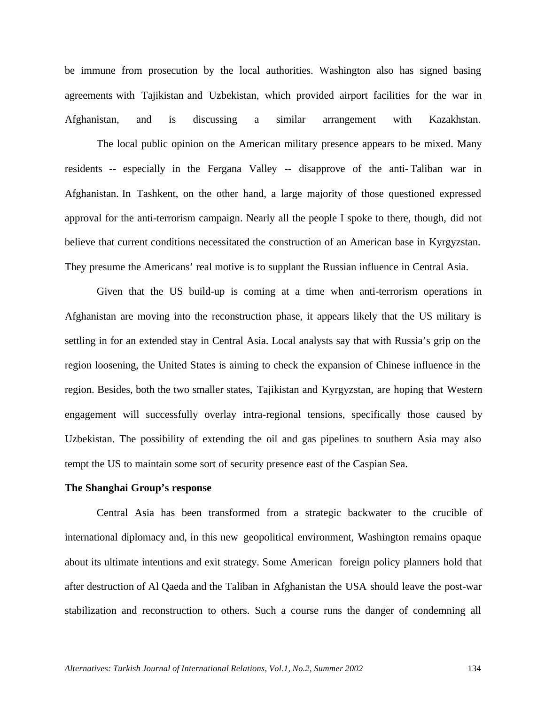be immune from prosecution by the local authorities. Washington also has signed basing agreements with Tajikistan and Uzbekistan, which provided airport facilities for the war in Afghanistan, and is discussing a similar arrangement with Kazakhstan.

The local public opinion on the American military presence appears to be mixed. Many residents -- especially in the Fergana Valley -- disapprove of the anti- Taliban war in Afghanistan. In Tashkent, on the other hand, a large majority of those questioned expressed approval for the anti-terrorism campaign. Nearly all the people I spoke to there, though, did not believe that current conditions necessitated the construction of an American base in Kyrgyzstan. They presume the Americans' real motive is to supplant the Russian influence in Central Asia.

Given that the US build-up is coming at a time when anti-terrorism operations in Afghanistan are moving into the reconstruction phase, it appears likely that the US military is settling in for an extended stay in Central Asia. Local analysts say that with Russia's grip on the region loosening, the United States is aiming to check the expansion of Chinese influence in the region. Besides, both the two smaller states, Tajikistan and Kyrgyzstan, are hoping that Western engagement will successfully overlay intra-regional tensions, specifically those caused by Uzbekistan. The possibility of extending the oil and gas pipelines to southern Asia may also tempt the US to maintain some sort of security presence east of the Caspian Sea.

#### **The Shanghai Group's response**

Central Asia has been transformed from a strategic backwater to the crucible of international diplomacy and, in this new geopolitical environment, Washington remains opaque about its ultimate intentions and exit strategy. Some American foreign policy planners hold that after destruction of Al Qaeda and the Taliban in Afghanistan the USA should leave the post-war stabilization and reconstruction to others. Such a course runs the danger of condemning all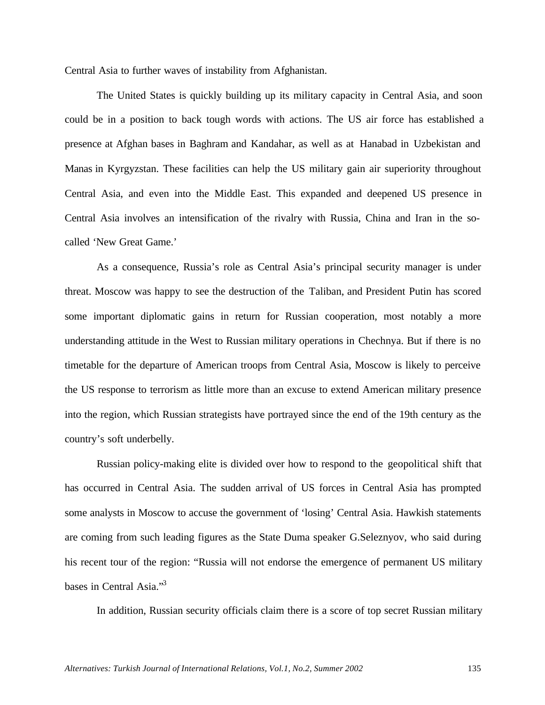Central Asia to further waves of instability from Afghanistan.

The United States is quickly building up its military capacity in Central Asia, and soon could be in a position to back tough words with actions. The US air force has established a presence at Afghan bases in Baghram and Kandahar, as well as at Hanabad in Uzbekistan and Manas in Kyrgyzstan. These facilities can help the US military gain air superiority throughout Central Asia, and even into the Middle East. This expanded and deepened US presence in Central Asia involves an intensification of the rivalry with Russia, China and Iran in the socalled 'New Great Game.'

As a consequence, Russia's role as Central Asia's principal security manager is under threat. Moscow was happy to see the destruction of the Taliban, and President Putin has scored some important diplomatic gains in return for Russian cooperation, most notably a more understanding attitude in the West to Russian military operations in Chechnya. But if there is no timetable for the departure of American troops from Central Asia, Moscow is likely to perceive the US response to terrorism as little more than an excuse to extend American military presence into the region, which Russian strategists have portrayed since the end of the 19th century as the country's soft underbelly.

Russian policy-making elite is divided over how to respond to the geopolitical shift that has occurred in Central Asia. The sudden arrival of US forces in Central Asia has prompted some analysts in Moscow to accuse the government of 'losing' Central Asia. Hawkish statements are coming from such leading figures as the State Duma speaker G.Seleznyov, who said during his recent tour of the region: "Russia will not endorse the emergence of permanent US military bases in Central Asia."<sup>3</sup>

In addition, Russian security officials claim there is a score of top secret Russian military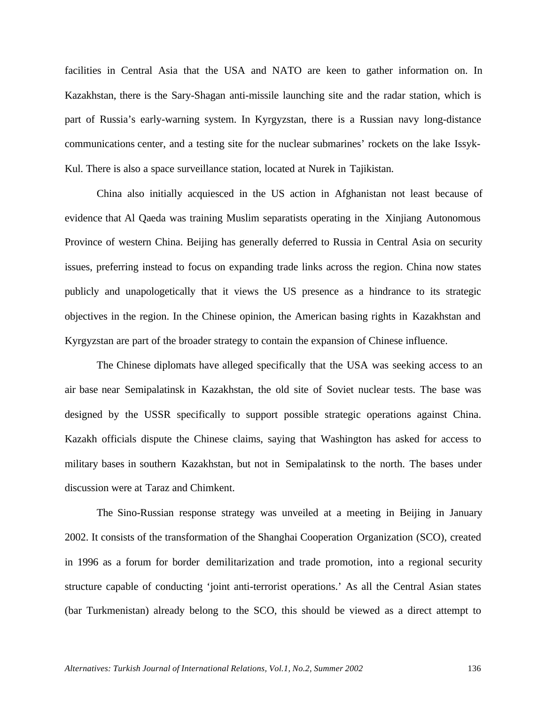facilities in Central Asia that the USA and NATO are keen to gather information on. In Kazakhstan, there is the Sary-Shagan anti-missile launching site and the radar station, which is part of Russia's early-warning system. In Kyrgyzstan, there is a Russian navy long-distance communications center, and a testing site for the nuclear submarines' rockets on the lake Issyk-Kul. There is also a space surveillance station, located at Nurek in Tajikistan.

China also initially acquiesced in the US action in Afghanistan not least because of evidence that Al Qaeda was training Muslim separatists operating in the Xinjiang Autonomous Province of western China. Beijing has generally deferred to Russia in Central Asia on security issues, preferring instead to focus on expanding trade links across the region. China now states publicly and unapologetically that it views the US presence as a hindrance to its strategic objectives in the region. In the Chinese opinion, the American basing rights in Kazakhstan and Kyrgyzstan are part of the broader strategy to contain the expansion of Chinese influence.

The Chinese diplomats have alleged specifically that the USA was seeking access to an air base near Semipalatinsk in Kazakhstan, the old site of Soviet nuclear tests. The base was designed by the USSR specifically to support possible strategic operations against China. Kazakh officials dispute the Chinese claims, saying that Washington has asked for access to military bases in southern Kazakhstan, but not in Semipalatinsk to the north. The bases under discussion were at Taraz and Chimkent.

The Sino-Russian response strategy was unveiled at a meeting in Beijing in January 2002. It consists of the transformation of the Shanghai Cooperation Organization (SCO), created in 1996 as a forum for border demilitarization and trade promotion, into a regional security structure capable of conducting 'joint anti-terrorist operations.' As all the Central Asian states (bar Turkmenistan) already belong to the SCO, this should be viewed as a direct attempt to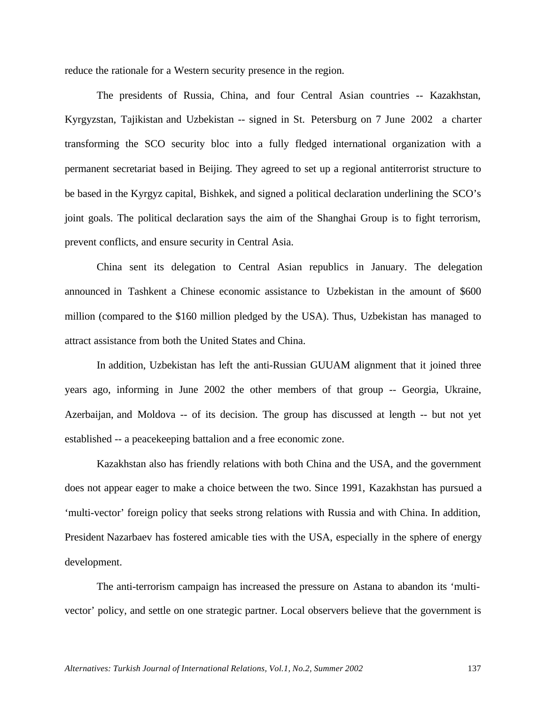reduce the rationale for a Western security presence in the region.

The presidents of Russia, China, and four Central Asian countries -- Kazakhstan, Kyrgyzstan, Tajikistan and Uzbekistan -- signed in St. Petersburg on 7 June 2002 a charter transforming the SCO security bloc into a fully fledged international organization with a permanent secretariat based in Beijing. They agreed to set up a regional antiterrorist structure to be based in the Kyrgyz capital, Bishkek, and signed a political declaration underlining the SCO's joint goals. The political declaration says the aim of the Shanghai Group is to fight terrorism, prevent conflicts, and ensure security in Central Asia.

China sent its delegation to Central Asian republics in January. The delegation announced in Tashkent a Chinese economic assistance to Uzbekistan in the amount of \$600 million (compared to the \$160 million pledged by the USA). Thus, Uzbekistan has managed to attract assistance from both the United States and China.

In addition, Uzbekistan has left the anti-Russian GUUAM alignment that it joined three years ago, informing in June 2002 the other members of that group -- Georgia, Ukraine, Azerbaijan, and Moldova -- of its decision. The group has discussed at length -- but not yet established -- a peacekeeping battalion and a free economic zone.

Kazakhstan also has friendly relations with both China and the USA, and the government does not appear eager to make a choice between the two. Since 1991, Kazakhstan has pursued a 'multi-vector' foreign policy that seeks strong relations with Russia and with China. In addition, President Nazarbaev has fostered amicable ties with the USA, especially in the sphere of energy development.

The anti-terrorism campaign has increased the pressure on Astana to abandon its 'multivector' policy, and settle on one strategic partner. Local observers believe that the government is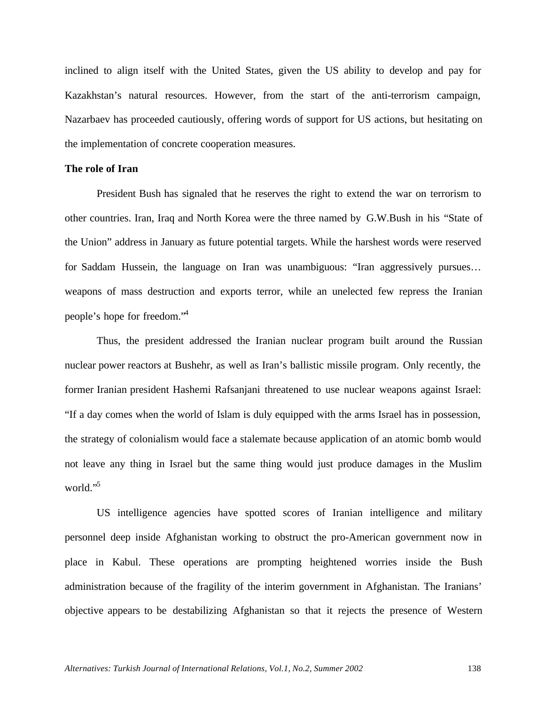inclined to align itself with the United States, given the US ability to develop and pay for Kazakhstan's natural resources. However, from the start of the anti-terrorism campaign, Nazarbaev has proceeded cautiously, offering words of support for US actions, but hesitating on the implementation of concrete cooperation measures.

## **The role of Iran**

President Bush has signaled that he reserves the right to extend the war on terrorism to other countries. Iran, Iraq and North Korea were the three named by G.W.Bush in his "State of the Union" address in January as future potential targets. While the harshest words were reserved for Saddam Hussein, the language on Iran was unambiguous: "Iran aggressively pursues… weapons of mass destruction and exports terror, while an unelected few repress the Iranian people's hope for freedom."<sup>4</sup>

Thus, the president addressed the Iranian nuclear program built around the Russian nuclear power reactors at Bushehr, as well as Iran's ballistic missile program. Only recently, the former Iranian president Hashemi Rafsanjani threatened to use nuclear weapons against Israel: "If a day comes when the world of Islam is duly equipped with the arms Israel has in possession, the strategy of colonialism would face a stalemate because application of an atomic bomb would not leave any thing in Israel but the same thing would just produce damages in the Muslim world."<sup>5</sup>

US intelligence agencies have spotted scores of Iranian intelligence and military personnel deep inside Afghanistan working to obstruct the pro-American government now in place in Kabul. These operations are prompting heightened worries inside the Bush administration because of the fragility of the interim government in Afghanistan. The Iranians' objective appears to be destabilizing Afghanistan so that it rejects the presence of Western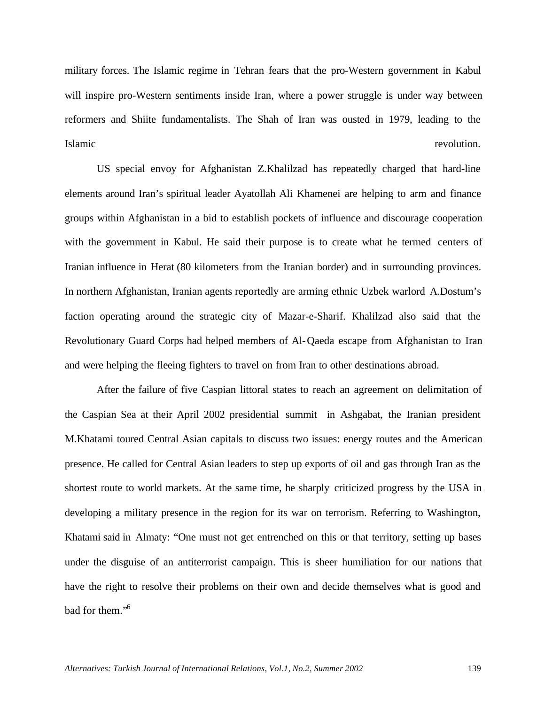military forces. The Islamic regime in Tehran fears that the pro-Western government in Kabul will inspire pro-Western sentiments inside Iran, where a power struggle is under way between reformers and Shiite fundamentalists. The Shah of Iran was ousted in 1979, leading to the Islamic revolution.

US special envoy for Afghanistan Z.Khalilzad has repeatedly charged that hard-line elements around Iran's spiritual leader Ayatollah Ali Khamenei are helping to arm and finance groups within Afghanistan in a bid to establish pockets of influence and discourage cooperation with the government in Kabul. He said their purpose is to create what he termed centers of Iranian influence in Herat (80 kilometers from the Iranian border) and in surrounding provinces. In northern Afghanistan, Iranian agents reportedly are arming ethnic Uzbek warlord A.Dostum's faction operating around the strategic city of Mazar-e-Sharif. Khalilzad also said that the Revolutionary Guard Corps had helped members of Al-Qaeda escape from Afghanistan to Iran and were helping the fleeing fighters to travel on from Iran to other destinations abroad.

After the failure of five Caspian littoral states to reach an agreement on delimitation of the Caspian Sea at their April 2002 presidential summit in Ashgabat, the Iranian president M.Khatami toured Central Asian capitals to discuss two issues: energy routes and the American presence. He called for Central Asian leaders to step up exports of oil and gas through Iran as the shortest route to world markets. At the same time, he sharply criticized progress by the USA in developing a military presence in the region for its war on terrorism. Referring to Washington, Khatami said in Almaty: "One must not get entrenched on this or that territory, setting up bases under the disguise of an antiterrorist campaign. This is sheer humiliation for our nations that have the right to resolve their problems on their own and decide themselves what is good and bad for them."<sup>6</sup>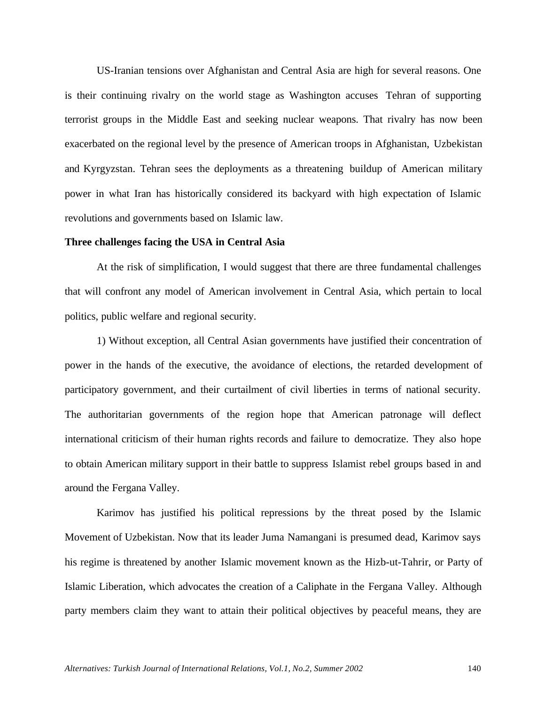US-Iranian tensions over Afghanistan and Central Asia are high for several reasons. One is their continuing rivalry on the world stage as Washington accuses Tehran of supporting terrorist groups in the Middle East and seeking nuclear weapons. That rivalry has now been exacerbated on the regional level by the presence of American troops in Afghanistan, Uzbekistan and Kyrgyzstan. Tehran sees the deployments as a threatening buildup of American military power in what Iran has historically considered its backyard with high expectation of Islamic revolutions and governments based on Islamic law.

#### **Three challenges facing the USA in Central Asia**

At the risk of simplification, I would suggest that there are three fundamental challenges that will confront any model of American involvement in Central Asia, which pertain to local politics, public welfare and regional security.

1) Without exception, all Central Asian governments have justified their concentration of power in the hands of the executive, the avoidance of elections, the retarded development of participatory government, and their curtailment of civil liberties in terms of national security. The authoritarian governments of the region hope that American patronage will deflect international criticism of their human rights records and failure to democratize. They also hope to obtain American military support in their battle to suppress Islamist rebel groups based in and around the Fergana Valley.

Karimov has justified his political repressions by the threat posed by the Islamic Movement of Uzbekistan. Now that its leader Juma Namangani is presumed dead, Karimov says his regime is threatened by another Islamic movement known as the Hizb-ut-Tahrir, or Party of Islamic Liberation, which advocates the creation of a Caliphate in the Fergana Valley. Although party members claim they want to attain their political objectives by peaceful means, they are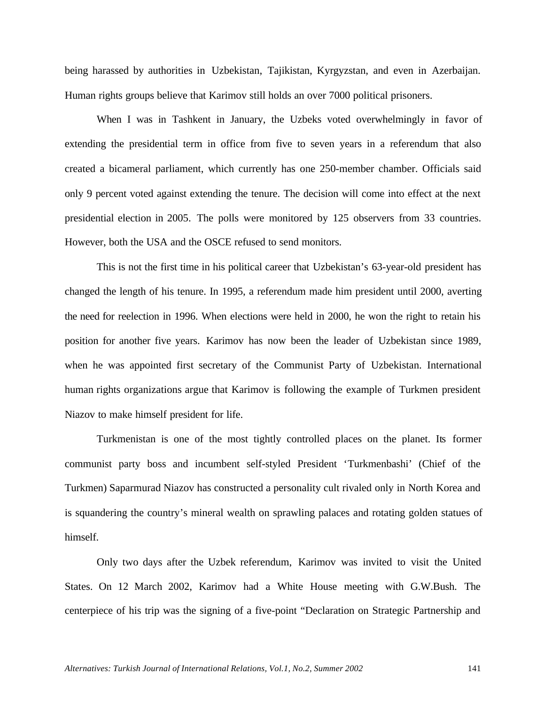being harassed by authorities in Uzbekistan, Tajikistan, Kyrgyzstan, and even in Azerbaijan. Human rights groups believe that Karimov still holds an over 7000 political prisoners.

When I was in Tashkent in January, the Uzbeks voted overwhelmingly in favor of extending the presidential term in office from five to seven years in a referendum that also created a bicameral parliament, which currently has one 250-member chamber. Officials said only 9 percent voted against extending the tenure. The decision will come into effect at the next presidential election in 2005. The polls were monitored by 125 observers from 33 countries. However, both the USA and the OSCE refused to send monitors.

This is not the first time in his political career that Uzbekistan's 63-year-old president has changed the length of his tenure. In 1995, a referendum made him president until 2000, averting the need for reelection in 1996. When elections were held in 2000, he won the right to retain his position for another five years. Karimov has now been the leader of Uzbekistan since 1989, when he was appointed first secretary of the Communist Party of Uzbekistan. International human rights organizations argue that Karimov is following the example of Turkmen president Niazov to make himself president for life.

Turkmenistan is one of the most tightly controlled places on the planet. Its former communist party boss and incumbent self-styled President 'Turkmenbashi' (Chief of the Turkmen) Saparmurad Niazov has constructed a personality cult rivaled only in North Korea and is squandering the country's mineral wealth on sprawling palaces and rotating golden statues of himself.

Only two days after the Uzbek referendum, Karimov was invited to visit the United States. On 12 March 2002, Karimov had a White House meeting with G.W.Bush. The centerpiece of his trip was the signing of a five-point "Declaration on Strategic Partnership and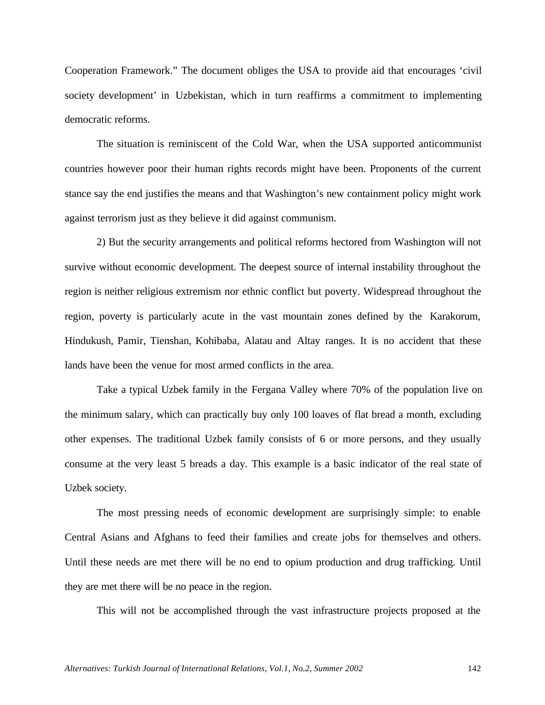Cooperation Framework." The document obliges the USA to provide aid that encourages 'civil society development' in Uzbekistan, which in turn reaffirms a commitment to implementing democratic reforms.

The situation is reminiscent of the Cold War, when the USA supported anticommunist countries however poor their human rights records might have been. Proponents of the current stance say the end justifies the means and that Washington's new containment policy might work against terrorism just as they believe it did against communism.

2) But the security arrangements and political reforms hectored from Washington will not survive without economic development. The deepest source of internal instability throughout the region is neither religious extremism nor ethnic conflict but poverty. Widespread throughout the region, poverty is particularly acute in the vast mountain zones defined by the Karakorum, Hindukush, Pamir, Tienshan, Kohibaba, Alatau and Altay ranges. It is no accident that these lands have been the venue for most armed conflicts in the area.

Take a typical Uzbek family in the Fergana Valley where 70% of the population live on the minimum salary, which can practically buy only 100 loaves of flat bread a month, excluding other expenses. The traditional Uzbek family consists of 6 or more persons, and they usually consume at the very least 5 breads a day. This example is a basic indicator of the real state of Uzbek society.

The most pressing needs of economic development are surprisingly simple: to enable Central Asians and Afghans to feed their families and create jobs for themselves and others. Until these needs are met there will be no end to opium production and drug trafficking. Until they are met there will be no peace in the region.

This will not be accomplished through the vast infrastructure projects proposed at the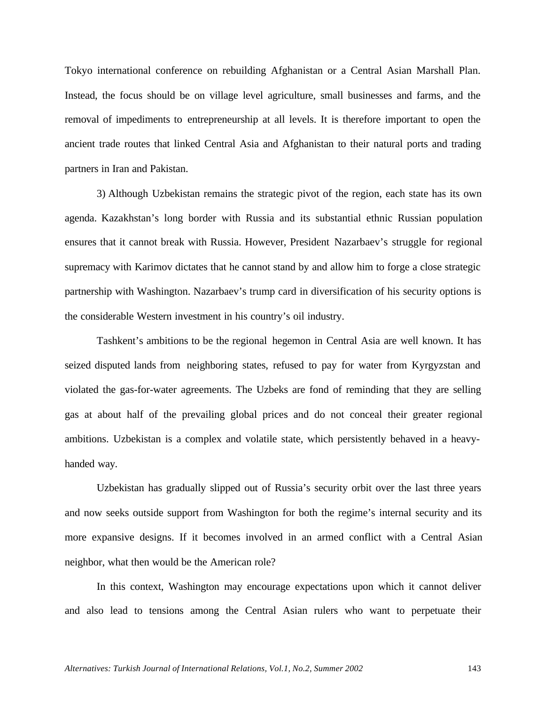Tokyo international conference on rebuilding Afghanistan or a Central Asian Marshall Plan. Instead, the focus should be on village level agriculture, small businesses and farms, and the removal of impediments to entrepreneurship at all levels. It is therefore important to open the ancient trade routes that linked Central Asia and Afghanistan to their natural ports and trading partners in Iran and Pakistan.

3) Although Uzbekistan remains the strategic pivot of the region, each state has its own agenda. Kazakhstan's long border with Russia and its substantial ethnic Russian population ensures that it cannot break with Russia. However, President Nazarbaev's struggle for regional supremacy with Karimov dictates that he cannot stand by and allow him to forge a close strategic partnership with Washington. Nazarbaev's trump card in diversification of his security options is the considerable Western investment in his country's oil industry.

Tashkent's ambitions to be the regional hegemon in Central Asia are well known. It has seized disputed lands from neighboring states, refused to pay for water from Kyrgyzstan and violated the gas-for-water agreements. The Uzbeks are fond of reminding that they are selling gas at about half of the prevailing global prices and do not conceal their greater regional ambitions. Uzbekistan is a complex and volatile state, which persistently behaved in a heavyhanded way.

Uzbekistan has gradually slipped out of Russia's security orbit over the last three years and now seeks outside support from Washington for both the regime's internal security and its more expansive designs. If it becomes involved in an armed conflict with a Central Asian neighbor, what then would be the American role?

In this context, Washington may encourage expectations upon which it cannot deliver and also lead to tensions among the Central Asian rulers who want to perpetuate their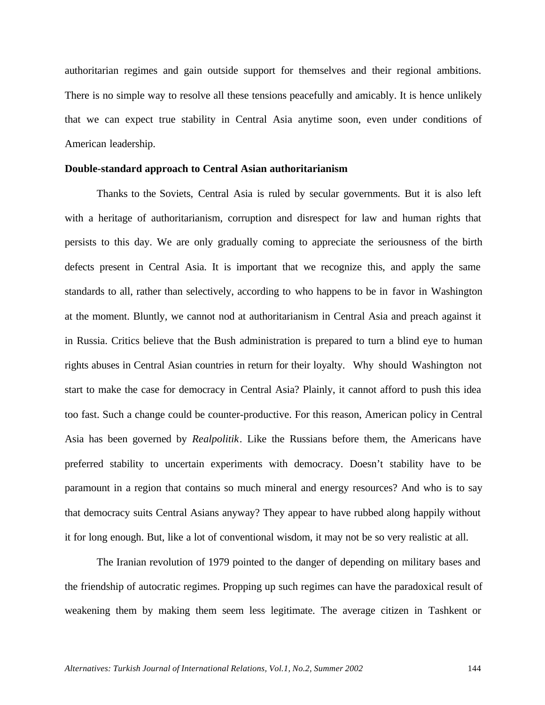authoritarian regimes and gain outside support for themselves and their regional ambitions. There is no simple way to resolve all these tensions peacefully and amicably. It is hence unlikely that we can expect true stability in Central Asia anytime soon, even under conditions of American leadership.

#### **Double-standard approach to Central Asian authoritarianism**

Thanks to the Soviets, Central Asia is ruled by secular governments. But it is also left with a heritage of authoritarianism, corruption and disrespect for law and human rights that persists to this day. We are only gradually coming to appreciate the seriousness of the birth defects present in Central Asia. It is important that we recognize this, and apply the same standards to all, rather than selectively, according to who happens to be in favor in Washington at the moment. Bluntly, we cannot nod at authoritarianism in Central Asia and preach against it in Russia. Critics believe that the Bush administration is prepared to turn a blind eye to human rights abuses in Central Asian countries in return for their loyalty. Why should Washington not start to make the case for democracy in Central Asia? Plainly, it cannot afford to push this idea too fast. Such a change could be counter-productive. For this reason, American policy in Central Asia has been governed by *Realpolitik*. Like the Russians before them, the Americans have preferred stability to uncertain experiments with democracy. Doesn't stability have to be paramount in a region that contains so much mineral and energy resources? And who is to say that democracy suits Central Asians anyway? They appear to have rubbed along happily without it for long enough. But, like a lot of conventional wisdom, it may not be so very realistic at all.

The Iranian revolution of 1979 pointed to the danger of depending on military bases and the friendship of autocratic regimes. Propping up such regimes can have the paradoxical result of weakening them by making them seem less legitimate. The average citizen in Tashkent or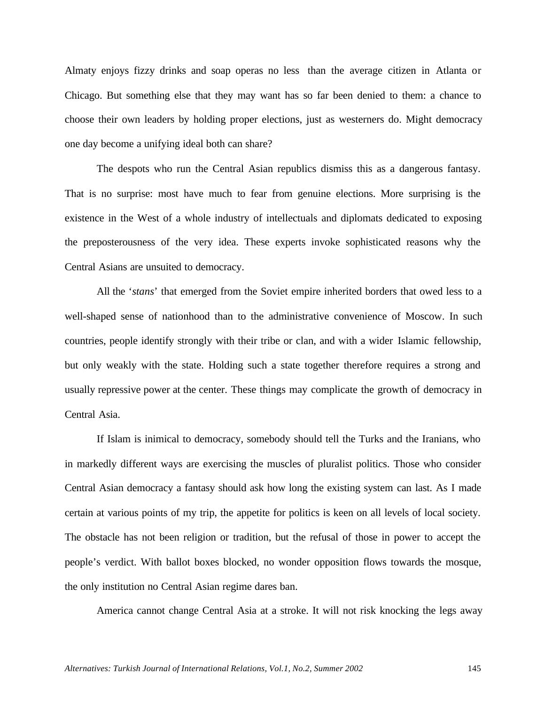Almaty enjoys fizzy drinks and soap operas no less than the average citizen in Atlanta or Chicago. But something else that they may want has so far been denied to them: a chance to choose their own leaders by holding proper elections, just as westerners do. Might democracy one day become a unifying ideal both can share?

The despots who run the Central Asian republics dismiss this as a dangerous fantasy. That is no surprise: most have much to fear from genuine elections. More surprising is the existence in the West of a whole industry of intellectuals and diplomats dedicated to exposing the preposterousness of the very idea. These experts invoke sophisticated reasons why the Central Asians are unsuited to democracy.

All the *'stans*' that emerged from the Soviet empire inherited borders that owed less to a well-shaped sense of nationhood than to the administrative convenience of Moscow. In such countries, people identify strongly with their tribe or clan, and with a wider Islamic fellowship, but only weakly with the state. Holding such a state together therefore requires a strong and usually repressive power at the center. These things may complicate the growth of democracy in Central Asia.

If Islam is inimical to democracy, somebody should tell the Turks and the Iranians, who in markedly different ways are exercising the muscles of pluralist politics. Those who consider Central Asian democracy a fantasy should ask how long the existing system can last. As I made certain at various points of my trip, the appetite for politics is keen on all levels of local society. The obstacle has not been religion or tradition, but the refusal of those in power to accept the people's verdict. With ballot boxes blocked, no wonder opposition flows towards the mosque, the only institution no Central Asian regime dares ban.

America cannot change Central Asia at a stroke. It will not risk knocking the legs away